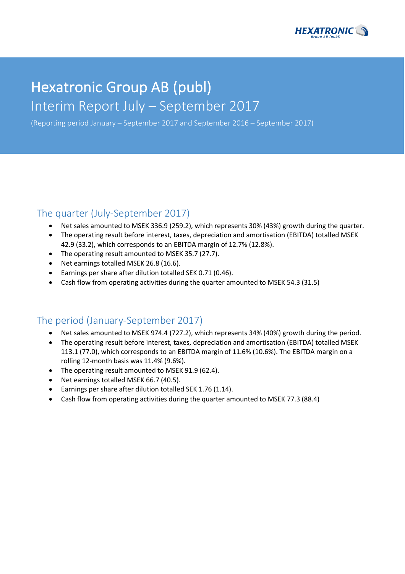

# Hexatronic Group AB (publ) Interim Report July - September 2017

(Reporting period January – September 2017 and September 2016 – September 2017)

### The quarter (July-September 2017)

- Net sales amounted to MSEK 336.9 (259.2), which represents 30% (43%) growth during the quarter.
- The operating result before interest, taxes, depreciation and amortisation (EBITDA) totalled MSEK 42.9 (33.2), which corresponds to an EBITDA margin of 12.7% (12.8%).
- The operating result amounted to MSEK 35.7 (27.7).
- Net earnings totalled MSEK 26.8 (16.6).
- Earnings per share after dilution totalled SEK 0.71 (0.46).
- Cash flow from operating activities during the quarter amounted to MSEK 54.3 (31.5)

# The period (January-September 2017)

- Net sales amounted to MSEK 974.4 (727.2), which represents 34% (40%) growth during the period.
- The operating result before interest, taxes, depreciation and amortisation (EBITDA) totalled MSEK 113.1 (77.0), which corresponds to an EBITDA margin of 11.6% (10.6%). The EBITDA margin on a rolling 12-month basis was 11.4% (9.6%).
- The operating result amounted to MSEK 91.9 (62.4).
- Net earnings totalled MSEK 66.7 (40.5).
- Earnings per share after dilution totalled SEK 1.76 (1.14).
- Cash flow from operating activities during the quarter amounted to MSEK 77.3 (88.4)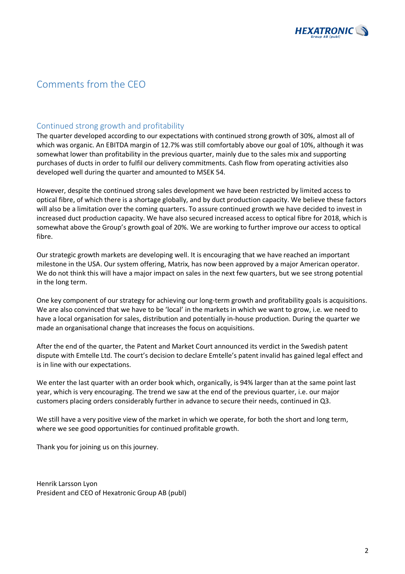

# Comments from the CEO

### Continued strong growth and profitability

The quarter developed according to our expectations with continued strong growth of 30%, almost all of which was organic. An EBITDA margin of 12.7% was still comfortably above our goal of 10%, although it was somewhat lower than profitability in the previous quarter, mainly due to the sales mix and supporting purchases of ducts in order to fulfil our delivery commitments. Cash flow from operating activities also developed well during the quarter and amounted to MSEK 54.

However, despite the continued strong sales development we have been restricted by limited access to optical fibre, of which there is a shortage globally, and by duct production capacity. We believe these factors will also be a limitation over the coming quarters. To assure continued growth we have decided to invest in increased duct production capacity. We have also secured increased access to optical fibre for 2018, which is somewhat above the Group's growth goal of 20%. We are working to further improve our access to optical fibre.

Our strategic growth markets are developing well. It is encouraging that we have reached an important milestone in the USA. Our system offering, Matrix, has now been approved by a major American operator. We do not think this will have a major impact on sales in the next few quarters, but we see strong potential in the long term.

One key component of our strategy for achieving our long-term growth and profitability goals is acquisitions. We are also convinced that we have to be 'local' in the markets in which we want to grow, i.e. we need to have a local organisation for sales, distribution and potentially in-house production. During the quarter we made an organisational change that increases the focus on acquisitions.

After the end of the quarter, the Patent and Market Court announced its verdict in the Swedish patent dispute with Emtelle Ltd. The court's decision to declare Emtelle's patent invalid has gained legal effect and is in line with our expectations.

We enter the last quarter with an order book which, organically, is 94% larger than at the same point last year, which is very encouraging. The trend we saw at the end of the previous quarter, i.e. our major customers placing orders considerably further in advance to secure their needs, continued in Q3.

We still have a very positive view of the market in which we operate, for both the short and long term, where we see good opportunities for continued profitable growth.

Thank you for joining us on this journey.

Henrik Larsson Lyon President and CEO of Hexatronic Group AB (publ)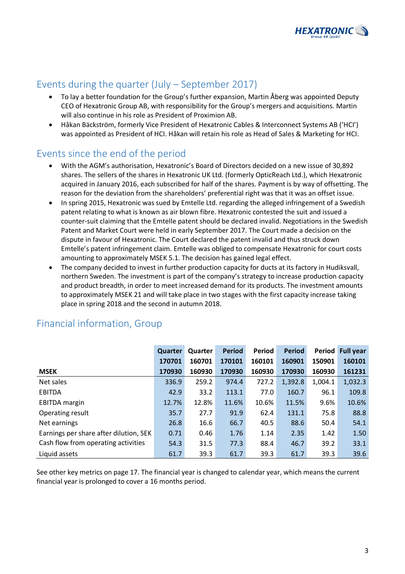

# Events during the quarter  $(July - September 2017)$

- To lay a better foundation for the Group's further expansion, Martin Åberg was appointed Deputy CEO of Hexatronic Group AB, with responsibility for the Group's mergers and acquisitions. Martin will also continue in his role as President of Proximion AB.
- Håkan Bäckström, formerly Vice President of Hexatronic Cables & Interconnect Systems AB ('HCI') was appointed as President of HCI. Håkan will retain his role as Head of Sales & Marketing for HCI.

# Events since the end of the period

- With the AGM's authorisation, Hexatronic's Board of Directors decided on a new issue of 30,892 shares. The sellers of the shares in Hexatronic UK Ltd. (formerly OpticReach Ltd.), which Hexatronic acquired in January 2016, each subscribed for half of the shares. Payment is by way of offsetting. The reason for the deviation from the shareholders' preferential right was that it was an offset issue.
- In spring 2015, Hexatronic was sued by Emtelle Ltd. regarding the alleged infringement of a Swedish patent relating to what is known as air blown fibre. Hexatronic contested the suit and issued a counter-suit claiming that the Emtelle patent should be declared invalid. Negotiations in the Swedish Patent and Market Court were held in early September 2017. The Court made a decision on the dispute in favour of Hexatronic. The Court declared the patent invalid and thus struck down Emtelle's patent infringement claim. Emtelle was obliged to compensate Hexatronic for court costs amounting to approximately MSEK 5.1. The decision has gained legal effect.
- The company decided to invest in further production capacity for ducts at its factory in Hudiksvall, northern Sweden. The investment is part of the company's strategy to increase production capacity and product breadth, in order to meet increased demand for its products. The investment amounts to approximately MSEK 21 and will take place in two stages with the first capacity increase taking place in spring 2018 and the second in autumn 2018.

|                                        | Quarter | Quarter | <b>Period</b> | Period | <b>Period</b> | Period  | <b>Full year</b> |
|----------------------------------------|---------|---------|---------------|--------|---------------|---------|------------------|
|                                        | 170701  | 160701  | 170101        | 160101 | 160901        | 150901  | 160101           |
| <b>MSEK</b>                            | 170930  | 160930  | 170930        | 160930 | 170930        | 160930  | 161231           |
| Net sales                              | 336.9   | 259.2   | 974.4         | 727.2  | 1,392.8       | 1,004.1 | 1,032.3          |
| <b>EBITDA</b>                          | 42.9    | 33.2    | 113.1         | 77.0   | 160.7         | 96.1    | 109.8            |
| <b>EBITDA</b> margin                   | 12.7%   | 12.8%   | 11.6%         | 10.6%  | 11.5%         | 9.6%    | 10.6%            |
| Operating result                       | 35.7    | 27.7    | 91.9          | 62.4   | 131.1         | 75.8    | 88.8             |
| Net earnings                           | 26.8    | 16.6    | 66.7          | 40.5   | 88.6          | 50.4    | 54.1             |
| Earnings per share after dilution, SEK | 0.71    | 0.46    | 1.76          | 1.14   | 2.35          | 1.42    | 1.50             |
| Cash flow from operating activities    | 54.3    | 31.5    | 77.3          | 88.4   | 46.7          | 39.2    | 33.1             |
| Liquid assets                          | 61.7    | 39.3    | 61.7          | 39.3   | 61.7          | 39.3    | 39.6             |

# Financial information, Group

See other key metrics on page 17. The financial year is changed to calendar year, which means the current financial year is prolonged to cover a 16 months period.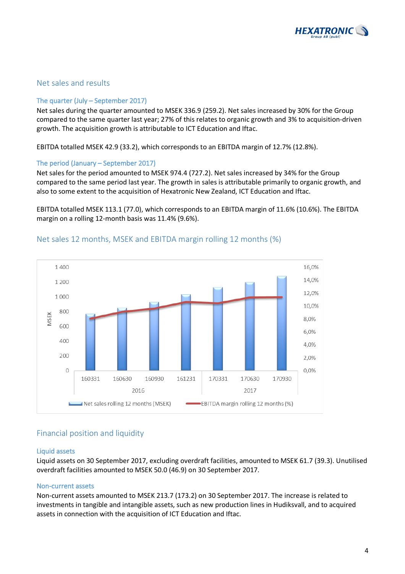

### Net sales and results

#### The quarter  $(July - September 2017)$

Net sales during the quarter amounted to MSEK 336.9 (259.2). Net sales increased by 30% for the Group compared to the same quarter last year; 27% of this relates to organic growth and 3% to acquisition-driven growth. The acquisition growth is attributable to ICT Education and Iftac.

EBITDA totalled MSEK 42.9 (33.2), which corresponds to an EBITDA margin of 12.7% (12.8%).

### The period (January – September 2017)

Net sales for the period amounted to MSEK 974.4 (727.2). Net sales increased by 34% for the Group compared to the same period last year. The growth in sales is attributable primarily to organic growth, and also to some extent to the acquisition of Hexatronic New Zealand, ICT Education and Iftac.

EBITDA totalled MSEK 113.1 (77.0), which corresponds to an EBITDA margin of 11.6% (10.6%). The EBITDA margin on a rolling 12-month basis was 11.4% (9.6%).



### Net sales 12 months, MSEK and EBITDA margin rolling 12 months (%)

### Financial position and liquidity

#### Liquid assets

Liquid assets on 30 September 2017, excluding overdraft facilities, amounted to MSEK 61.7 (39.3). Unutilised overdraft facilities amounted to MSEK 50.0 (46.9) on 30 September 2017.

#### Non-current assets

Non-current assets amounted to MSEK 213.7 (173.2) on 30 September 2017. The increase is related to investments in tangible and intangible assets, such as new production lines in Hudiksvall, and to acquired assets in connection with the acquisition of ICT Education and Iftac.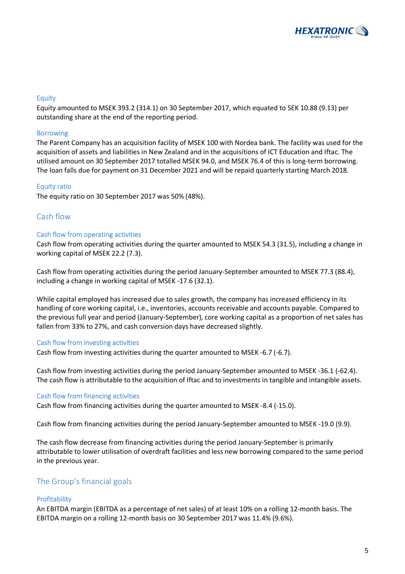

### Equity

Equity amounted to MSEK 393.2 (314.1) on 30 September 2017, which equated to SEK 10.88 (9.13) per outstanding share at the end of the reporting period.

#### Borrowing

The Parent Company has an acquisition facility of MSEK 100 with Nordea bank. The facility was used for the acquisition of assets and liabilities in New Zealand and in the acquisitions of ICT Education and Iftac. The utilised amount on 30 September 2017 totalled MSEK 94.0, and MSEK 76.4 of this is long-term borrowing. The loan falls due for payment on 31 December 2021 and will be repaid quarterly starting March 2018.

#### **Equity ratio**

The equity ratio on 30 September 2017 was 50% (48%).

### Cash flow

#### Cash flow from operating activities

Cash flow from operating activities during the quarter amounted to MSEK 54.3 (31.5), including a change in working capital of MSEK 22.2 (7.3).

Cash flow from operating activities during the period January-September amounted to MSEK 77.3 (88.4), including a change in working capital of MSEK -17.6 (32.1).

While capital employed has increased due to sales growth, the company has increased efficiency in its handling of core working capital, i.e., inventories, accounts receivable and accounts payable. Compared to the previous full year and period (January-September), core working capital as a proportion of net sales has fallen from 33% to 27%, and cash conversion days have decreased slightly.

#### Cash flow from investing activities

Cash flow from investing activities during the quarter amounted to MSEK -6.7 (-6.7).

Cash flow from investing activities during the period January-September amounted to MSEK -36.1 (-62.4). The cash flow is attributable to the acquisition of Iftac and to investments in tangible and intangible assets.

#### Cash flow from financing activities

Cash flow from financing activities during the quarter amounted to MSEK -8.4 (-15.0).

Cash flow from financing activities during the period January-September amounted to MSEK -19.0 (9.9).

The cash flow decrease from financing activities during the period January-September is primarily attributable to lower utilisation of overdraft facilities and less new borrowing compared to the same period in the previous year.

### The Group's financial goals

#### **Profitability**

An EBITDA margin (EBITDA as a percentage of net sales) of at least 10% on a rolling 12-month basis. The EBITDA margin on a rolling 12-month basis on 30 September 2017 was 11.4% (9.6%).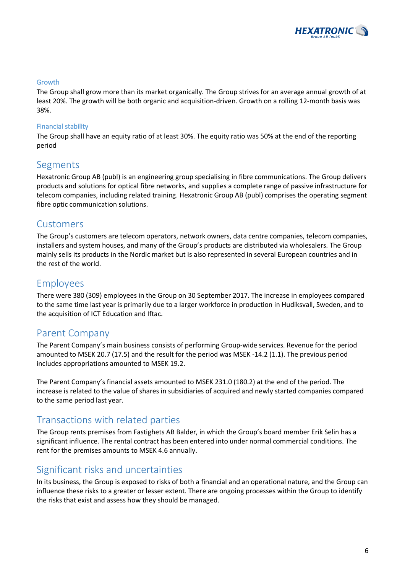

### Growth

The Group shall grow more than its market organically. The Group strives for an average annual growth of at least 20%. The growth will be both organic and acquisition-driven. Growth on a rolling 12-month basis was 38%.

### Financial stability

The Group shall have an equity ratio of at least 30%. The equity ratio was 50% at the end of the reporting period

### Segments

Hexatronic Group AB (publ) is an engineering group specialising in fibre communications. The Group delivers products and solutions for optical fibre networks, and supplies a complete range of passive infrastructure for telecom companies, including related training. Hexatronic Group AB (publ) comprises the operating segment fibre optic communication solutions.

### Customers

The Group's customers are telecom operators, network owners, data centre companies, telecom companies, installers and system houses, and many of the Group's products are distributed via wholesalers. The Group mainly sells its products in the Nordic market but is also represented in several European countries and in the rest of the world.

### Employees

There were 380 (309) employees in the Group on 30 September 2017. The increase in employees compared to the same time last year is primarily due to a larger workforce in production in Hudiksvall, Sweden, and to the acquisition of ICT Education and Iftac.

### Parent Company

The Parent Company's main business consists of performing Group-wide services. Revenue for the period amounted to MSEK 20.7 (17.5) and the result for the period was MSEK -14.2 (1.1). The previous period includes appropriations amounted to MSEK 19.2.

The Parent Company's financial assets amounted to MSEK 231.0 (180.2) at the end of the period. The increase is related to the value of shares in subsidiaries of acquired and newly started companies compared to the same period last year.

### Transactions with related parties

The Group rents premises from Fastighets AB Balder, in which the Group's board member Erik Selin has a significant influence. The rental contract has been entered into under normal commercial conditions. The rent for the premises amounts to MSEK 4.6 annually.

### Significant risks and uncertainties

In its business, the Group is exposed to risks of both a financial and an operational nature, and the Group can influence these risks to a greater or lesser extent. There are ongoing processes within the Group to identify the risks that exist and assess how they should be managed.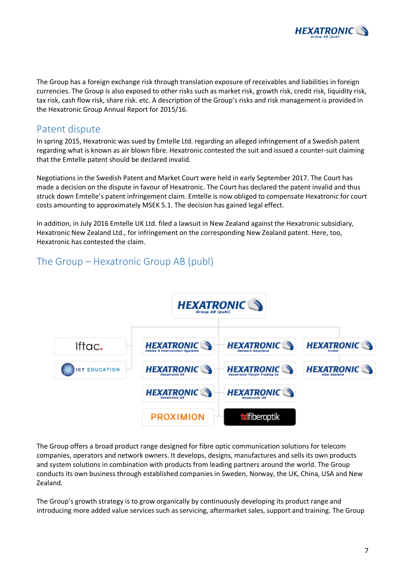

The Group has a foreign exchange risk through translation exposure of receivables and liabilities in foreign currencies. The Group is also exposed to other risks such as market risk, growth risk, credit risk, liquidity risk, tax risk, cash flow risk, share risk. etc. A description of the Group's risks and risk management is provided in the Hexatronic Group Annual Report for 2015/16.

### Patent dispute

In spring 2015, Hexatronic was sued by Emtelle Ltd. regarding an alleged infringement of a Swedish patent regarding what is known as air blown fibre. Hexatronic contested the suit and issued a counter-suit claiming that the Emtelle patent should be declared invalid.

Negotiations in the Swedish Patent and Market Court were held in early September 2017. The Court has made a decision on the dispute in favour of Hexatronic. The Court has declared the patent invalid and thus struck down Emtelle's patent infringement claim. Emtelle is now obliged to compensate Hexatronic for court costs amounting to approximately MSEK 5.1. The decision has gained legal effect.

In addition, in July 2016 Emtelle UK Ltd. filed a lawsuit in New Zealand against the Hexatronic subsidiary, Hexatronic New Zealand Ltd., for infringement on the corresponding New Zealand patent. Here, too, Hexatronic has contested the claim.

## The Group – Hexatronic Group AB (publ)



The Group offers a broad product range designed for fibre optic communication solutions for telecom companies, operators and network owners. It develops, designs, manufactures and sells its own products and system solutions in combination with products from leading partners around the world. The Group conducts its own business through established companies in Sweden, Norway, the UK, China, USA and New Zealand.

The Group's growth strategy is to grow organically by continuously developing its product range and introducing more added value services such as servicing, aftermarket sales, support and training. The Group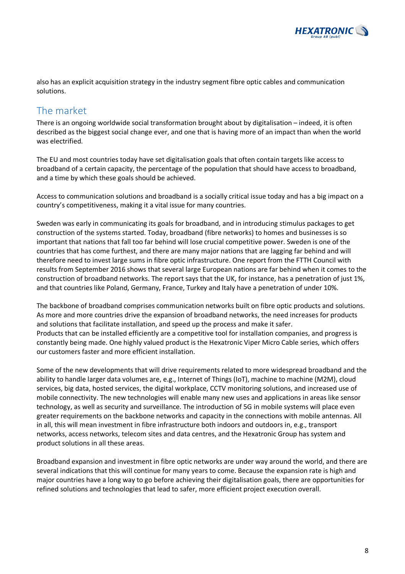

also has an explicit acquisition strategy in the industry segment fibre optic cables and communication solutions.

## The market

There is an ongoing worldwide social transformation brought about by digitalisation – indeed, it is often described as the biggest social change ever, and one that is having more of an impact than when the world was electrified.

The EU and most countries today have set digitalisation goals that often contain targets like access to broadband of a certain capacity, the percentage of the population that should have access to broadband, and a time by which these goals should be achieved.

Access to communication solutions and broadband is a socially critical issue today and has a big impact on a country's competitiveness, making it a vital issue for many countries.

Sweden was early in communicating its goals for broadband, and in introducing stimulus packages to get construction of the systems started. Today, broadband (fibre networks) to homes and businesses is so important that nations that fall too far behind will lose crucial competitive power. Sweden is one of the countries that has come furthest, and there are many major nations that are lagging far behind and will therefore need to invest large sums in fibre optic infrastructure. One report from the FTTH Council with results from September 2016 shows that several large European nations are far behind when it comes to the construction of broadband networks. The report says that the UK, for instance, has a penetration of just 1%, and that countries like Poland, Germany, France, Turkey and Italy have a penetration of under 10%.

The backbone of broadband comprises communication networks built on fibre optic products and solutions. As more and more countries drive the expansion of broadband networks, the need increases for products and solutions that facilitate installation, and speed up the process and make it safer. Products that can be installed efficiently are a competitive tool for installation companies, and progress is constantly being made. One highly valued product is the Hexatronic Viper Micro Cable series, which offers our customers faster and more efficient installation.

Some of the new developments that will drive requirements related to more widespread broadband and the ability to handle larger data volumes are, e.g., Internet of Things (IoT), machine to machine (M2M), cloud services, big data, hosted services, the digital workplace, CCTV monitoring solutions, and increased use of mobile connectivity. The new technologies will enable many new uses and applications in areas like sensor technology, as well as security and surveillance. The introduction of 5G in mobile systems will place even greater requirements on the backbone networks and capacity in the connections with mobile antennas. All in all, this will mean investment in fibre infrastructure both indoors and outdoors in, e.g., transport networks, access networks, telecom sites and data centres, and the Hexatronic Group has system and product solutions in all these areas.

Broadband expansion and investment in fibre optic networks are under way around the world, and there are several indications that this will continue for many years to come. Because the expansion rate is high and major countries have a long way to go before achieving their digitalisation goals, there are opportunities for refined solutions and technologies that lead to safer, more efficient project execution overall.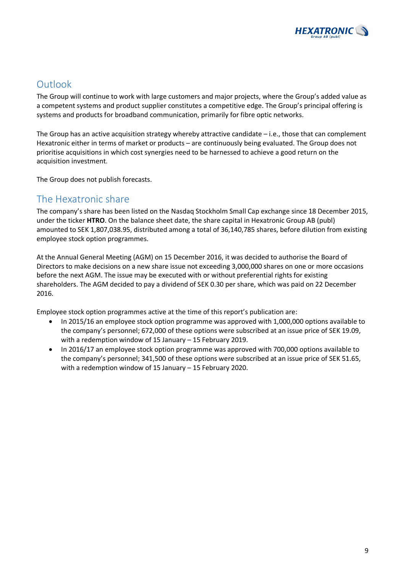

# **Outlook**

The Group will continue to work with large customers and major projects, where the Group's added value as a competent systems and product supplier constitutes a competitive edge. The Group's principal offering is systems and products for broadband communication, primarily for fibre optic networks.

The Group has an active acquisition strategy whereby attractive candidate  $-$  i.e., those that can complement Hexatronic either in terms of market or products – are continuously being evaluated. The Group does not prioritise acquisitions in which cost synergies need to be harnessed to achieve a good return on the acquisition investment.

The Group does not publish forecasts.

### The Hexatronic share

The company's share has been listed on the Nasdaq Stockholm Small Cap exchange since 18 December 2015, under the ticker HTRO. On the balance sheet date, the share capital in Hexatronic Group AB (publ) amounted to SEK 1,807,038.95, distributed among a total of 36,140,785 shares, before dilution from existing employee stock option programmes.

At the Annual General Meeting (AGM) on 15 December 2016, it was decided to authorise the Board of Directors to make decisions on a new share issue not exceeding 3,000,000 shares on one or more occasions before the next AGM. The issue may be executed with or without preferential rights for existing shareholders. The AGM decided to pay a dividend of SEK 0.30 per share, which was paid on 22 December 2016.

Employee stock option programmes active at the time of this report's publication are:

- In 2015/16 an employee stock option programme was approved with 1,000,000 options available to the company's personnel; 672,000 of these options were subscribed at an issue price of SEK 19.09, with a redemption window of 15 January  $-$  15 February 2019.
- In 2016/17 an employee stock option programme was approved with 700,000 options available to the company's personnel; 341,500 of these options were subscribed at an issue price of SEK 51.65, with a redemption window of 15 January  $-$  15 February 2020.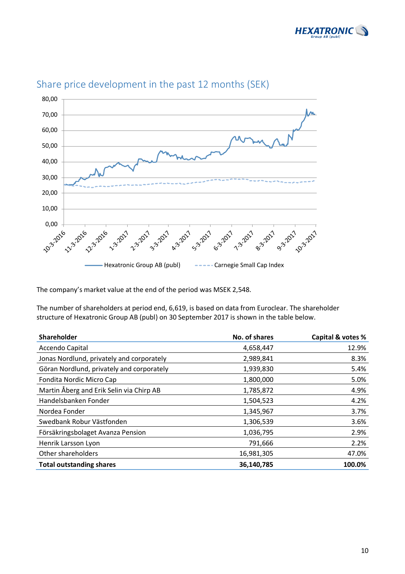



# Share price development in the past 12 months (SEK)

The company's market value at the end of the period was MSEK 2,548.

The number of shareholders at period end, 6,619, is based on data from Euroclear. The shareholder structure of Hexatronic Group AB (publ) on 30 September 2017 is shown in the table below.

| <b>Shareholder</b>                        | No. of shares | Capital & votes % |
|-------------------------------------------|---------------|-------------------|
| Accendo Capital                           | 4,658,447     | 12.9%             |
| Jonas Nordlund, privately and corporately | 2,989,841     | 8.3%              |
| Göran Nordlund, privately and corporately | 1,939,830     | 5.4%              |
| Fondita Nordic Micro Cap                  | 1,800,000     | 5.0%              |
| Martin Åberg and Erik Selin via Chirp AB  | 1,785,872     | 4.9%              |
| Handelsbanken Fonder                      | 1,504,523     | 4.2%              |
| Nordea Fonder                             | 1,345,967     | 3.7%              |
| Swedbank Robur Västfonden                 | 1,306,539     | 3.6%              |
| Försäkringsbolaget Avanza Pension         | 1,036,795     | 2.9%              |
| Henrik Larsson Lyon                       | 791,666       | 2.2%              |
| Other shareholders                        | 16,981,305    | 47.0%             |
| <b>Total outstanding shares</b>           | 36,140,785    | 100.0%            |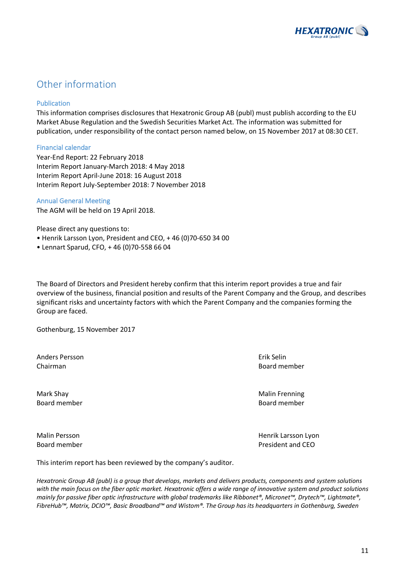

# Other information

#### Publication

This information comprises disclosures that Hexatronic Group AB (publ) must publish according to the EU Market Abuse Regulation and the Swedish Securities Market Act. The information was submitted for publication, under responsibility of the contact person named below, on 15 November 2017 at 08:30 CET.

#### Financial calendar

Year-End Report: 22 February 2018 Interim Report January-March 2018: 4 May 2018 Interim Report April-June 2018: 16 August 2018 Interim Report July-September 2018: 7 November 2018

### Annual General Meeting

The AGM will be held on 19 April 2018.

Please direct any questions to:

- Henrik Larsson Lyon, President and CEO, +46 (0)70-650 34 00
- Lennart Sparud, CFO, + 46 (0)70-558 66 04

The Board of Directors and President hereby confirm that this interim report provides a true and fair overview of the business, financial position and results of the Parent Company and the Group, and describes significant risks and uncertainty factors with which the Parent Company and the companies forming the Group are faced.

Gothenburg, 15 November 2017

Anders Persson **Exites and Exite** Selin and The Selin Erik Selin Chairman Board member and the contract of the contract of the contract of the contract of the contract of the contract of the contract of the contract of the contract of the contract of the contract of the contract of the

Mark Shay Malin Frenning Board member **Board member** Board member **Board member** 

Malin Persson **Malin** Persson Lyon Board member **Board** member **President** and CEO

This interim report has been reviewed by the company's auditor.

*Hexatronic Group AB (publ)* is a group that develops, markets and delivers products, components and system solutions with the main focus on the fiber optic market. Hexatronic offers a wide range of innovative system and product solutions *mainly* for passive fiber optic infrastructure with global trademarks like Ribbonet®, Micronet™, Drytech™, Lightmate®, *FibreHub™, Matrix, DCIO™, Basic Broadband™* and Wistom®. The Group has its headquarters in Gothenburg, Sweden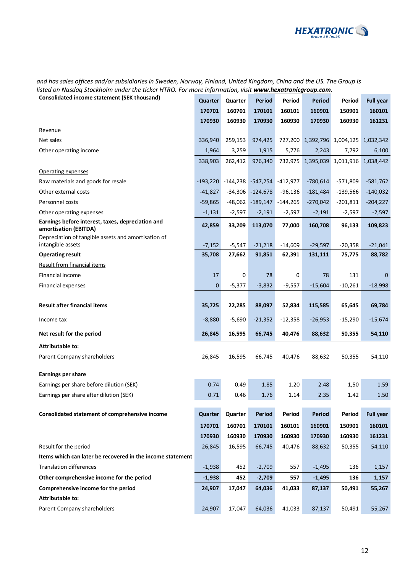

and has sales offices and/or subsidiaries in Sweden, Norway, Finland, United Kingdom, China and the US. The Group is *listed on Nasdaq Stockholm under the ticker HTRO. For more information, visit www.hexatronicgroup.com.*

| Consolidated income statement (SEK thousand)                               | Quarter            | Quarter            | <b>Period</b>       | Period              | <b>Period</b>        | Period              | <b>Full year</b>    |
|----------------------------------------------------------------------------|--------------------|--------------------|---------------------|---------------------|----------------------|---------------------|---------------------|
|                                                                            | 170701             | 160701             | 170101              | 160101              | 160901               | 150901              | 160101              |
|                                                                            | 170930             | 160930             | 170930              | 160930              | 170930               | 160930              | 161231              |
| Revenue                                                                    |                    |                    |                     |                     |                      |                     |                     |
| Net sales                                                                  | 336,940            | 259,153            | 974,425             | 727,200             |                      | 1,392,796 1,004,125 | 1,032,342           |
| Other operating income                                                     | 1,964              | 3,259              | 1,915               | 5,776               | 2,243                | 7,792               | 6,100               |
|                                                                            | 338,903            | 262,412            | 976,340             | 732,975             | 1,395,039            | 1,011,916           | 1,038,442           |
| Operating expenses                                                         |                    |                    |                     |                     |                      |                     |                     |
| Raw materials and goods for resale                                         | $-193,220$         | -144,238           | $-547,254$          | $-412,977$          | $-780,614$           | $-571,809$          | $-581,762$          |
| Other external costs                                                       | $-41,827$          | $-34,306$          | $-124,678$          | $-96,136$           | $-181,484$           | $-139,566$          | $-140,032$          |
| Personnel costs                                                            | $-59,865$          | $-48,062$          | $-189,147$          | $-144,265$          | $-270,042$           | $-201,811$          | $-204,227$          |
| Other operating expenses                                                   | $-1,131$           | $-2,597$           | $-2,191$            | $-2,597$            | $-2,191$             | $-2,597$            | $-2,597$            |
| Earnings before interest, taxes, depreciation and<br>amortisation (EBITDA) | 42,859             | 33,209             | 113,070             | 77,000              | 160,708              | 96,133              | 109,823             |
| Depreciation of tangible assets and amortisation of<br>intangible assets   |                    |                    |                     |                     |                      |                     |                     |
| <b>Operating result</b>                                                    | $-7,152$<br>35,708 | $-5,547$<br>27,662 | $-21,218$<br>91,851 | $-14,609$<br>62,391 | $-29,597$<br>131,111 | $-20,358$<br>75,775 | $-21,041$<br>88,782 |
| <b>Result from financial items</b>                                         |                    |                    |                     |                     |                      |                     |                     |
| Financial income                                                           | 17                 | 0                  | 78                  | $\mathsf 0$         | 78                   | 131                 | $\mathbf 0$         |
| <b>Financial expenses</b>                                                  | 0                  | $-5,377$           | $-3,832$            | $-9,557$            | $-15,604$            | $-10,261$           | $-18,998$           |
|                                                                            |                    |                    |                     |                     |                      |                     |                     |
| <b>Result after financial items</b>                                        | 35,725             | 22,285             | 88,097              | 52,834              | 115,585              | 65,645              | 69,784              |
| Income tax                                                                 | $-8,880$           | $-5,690$           | $-21,352$           | $-12,358$           | $-26,953$            | $-15,290$           | $-15,674$           |
| Net result for the period                                                  | 26,845             | 16,595             | 66,745              | 40,476              | 88,632               | 50,355              | 54,110              |
| <b>Attributable to:</b>                                                    |                    |                    |                     |                     |                      |                     |                     |
| Parent Company shareholders                                                | 26,845             | 16,595             | 66,745              | 40,476              | 88,632               | 50,355              | 54,110              |
| <b>Earnings per share</b>                                                  |                    |                    |                     |                     |                      |                     |                     |
| Earnings per share before dilution (SEK)                                   | 0.74               | 0.49               | 1.85                | 1.20                | 2.48                 | 1,50                | 1.59                |
| Earnings per share after dilution (SEK)                                    | 0.71               | 0.46               | 1.76                | 1.14                | 2.35                 | 1.42                | 1.50                |
|                                                                            |                    |                    |                     |                     |                      |                     |                     |
| Consolidated statement of comprehensive income                             | Quarter            | Quarter            | <b>Period</b>       | Period              | <b>Period</b>        | Period              | <b>Full year</b>    |
|                                                                            | 170701             | 160701             | 170101              | 160101              | 160901               | 150901              | 160101              |
|                                                                            | 170930             | 160930             | 170930              | 160930              | 170930               | 160930              | 161231              |
| Result for the period                                                      | 26,845             | 16,595             | 66,745              | 40,476              | 88,632               | 50,355              | 54,110              |
| Items which can later be recovered in the income statement                 |                    |                    |                     |                     |                      |                     |                     |
| <b>Translation differences</b>                                             | $-1,938$           | 452                | $-2,709$            | 557                 | $-1,495$             | 136                 | 1,157               |
| Other comprehensive income for the period                                  | $-1,938$           | 452                | $-2,709$            | 557                 | $-1,495$             | 136                 | 1,157               |
| Comprehensive income for the period                                        | 24,907             | 17,047             | 64,036              | 41,033              | 87,137               | 50,491              | 55,267              |
| <b>Attributable to:</b>                                                    |                    |                    |                     |                     |                      |                     |                     |
| Parent Company shareholders                                                | 24,907             | 17,047             | 64,036              | 41,033              | 87,137               | 50,491              | 55,267              |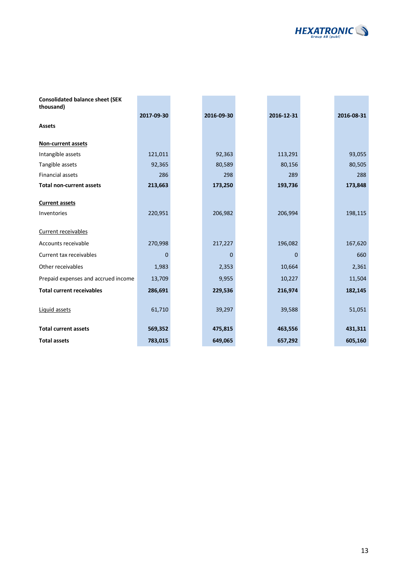

| <b>Consolidated balance sheet (SEK</b> |             |            |            |            |
|----------------------------------------|-------------|------------|------------|------------|
| thousand)                              |             |            |            |            |
|                                        | 2017-09-30  | 2016-09-30 | 2016-12-31 | 2016-08-31 |
| <b>Assets</b>                          |             |            |            |            |
| Non-current assets                     |             |            |            |            |
| Intangible assets                      | 121,011     | 92,363     | 113,291    | 93,055     |
| Tangible assets                        | 92,365      | 80,589     | 80,156     | 80,505     |
| <b>Financial assets</b>                | 286         | 298        | 289        | 288        |
| <b>Total non-current assets</b>        | 213,663     | 173,250    | 193,736    | 173,848    |
|                                        |             |            |            |            |
| <b>Current assets</b>                  |             |            |            |            |
| Inventories                            | 220,951     | 206,982    | 206,994    | 198,115    |
| Current receivables                    |             |            |            |            |
| Accounts receivable                    | 270,998     | 217,227    | 196,082    | 167,620    |
| Current tax receivables                | $\mathbf 0$ | 0          | 0          | 660        |
| Other receivables                      | 1,983       | 2,353      | 10,664     | 2,361      |
| Prepaid expenses and accrued income    | 13,709      | 9,955      | 10,227     | 11,504     |
| <b>Total current receivables</b>       | 286,691     | 229,536    | 216,974    | 182,145    |
| Liquid assets                          | 61,710      | 39,297     | 39,588     | 51,051     |
| <b>Total current assets</b>            | 569,352     | 475,815    | 463,556    | 431,311    |
| <b>Total assets</b>                    | 783,015     | 649,065    | 657,292    | 605,160    |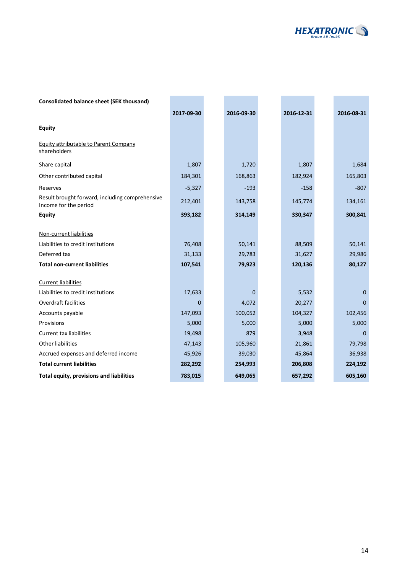

| <b>Consolidated balance sheet (SEK thousand)</b>                                                                      |                             |                            |   |                             |                            |
|-----------------------------------------------------------------------------------------------------------------------|-----------------------------|----------------------------|---|-----------------------------|----------------------------|
|                                                                                                                       | 2017-09-30                  | 2016-09-30                 |   | 2016-12-31                  | 2016-08-31                 |
| <b>Equity</b>                                                                                                         |                             |                            |   |                             |                            |
| <b>Equity attributable to Parent Company</b><br>shareholders                                                          |                             |                            |   |                             |                            |
| Share capital                                                                                                         | 1,807                       | 1,720                      |   | 1,807                       | 1,684                      |
| Other contributed capital                                                                                             | 184,301                     | 168,863                    |   | 182,924                     | 165,803                    |
| Reserves                                                                                                              | $-5,327$                    | $-193$                     |   | $-158$                      | $-807$                     |
| Result brought forward, including comprehensive<br>Income for the period                                              | 212,401                     | 143,758                    |   | 145,774                     | 134,161                    |
| <b>Equity</b>                                                                                                         | 393,182                     | 314,149                    |   | 330,347                     | 300,841                    |
| Non-current liabilities<br>Liabilities to credit institutions<br>Deferred tax<br><b>Total non-current liabilities</b> | 76,408<br>31,133<br>107,541 | 50,141<br>29,783<br>79,923 |   | 88,509<br>31,627<br>120,136 | 50,141<br>29,986<br>80,127 |
| <b>Current liabilities</b>                                                                                            |                             |                            |   |                             |                            |
| Liabilities to credit institutions                                                                                    | 17,633                      |                            | 0 | 5,532                       | $\Omega$                   |
| <b>Overdraft facilities</b>                                                                                           | $\mathbf 0$                 | 4,072                      |   | 20,277                      | $\Omega$                   |
| Accounts payable                                                                                                      | 147,093                     | 100,052                    |   | 104,327                     | 102,456                    |
| Provisions                                                                                                            | 5,000                       | 5,000                      |   | 5,000                       | 5,000                      |
| <b>Current tax liabilities</b>                                                                                        | 19,498                      | 879                        |   | 3,948                       | $\Omega$                   |
| <b>Other liabilities</b>                                                                                              | 47,143                      | 105,960                    |   | 21,861                      | 79,798                     |
| Accrued expenses and deferred income                                                                                  | 45,926                      | 39,030                     |   | 45,864                      | 36,938                     |
| <b>Total current liabilities</b>                                                                                      | 282,292                     | 254,993                    |   | 206,808                     | 224,192                    |
| Total equity, provisions and liabilities                                                                              | 783,015                     | 649,065                    |   | 657,292                     | 605,160                    |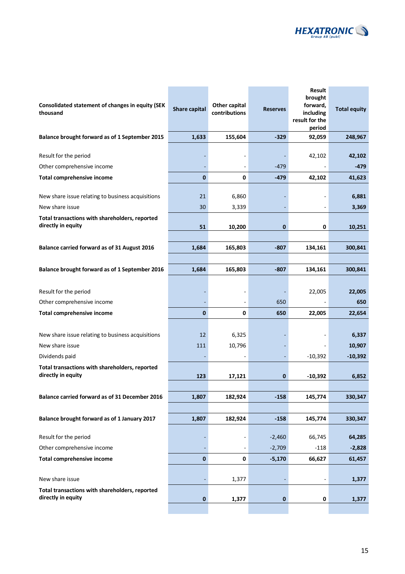

| Consolidated statement of changes in equity (SEK<br>thousand         | <b>Share capital</b> | Other capital<br>contributions | <b>Reserves</b> | Result<br>brought<br>forward,<br>including<br>result for the<br>period | <b>Total equity</b> |
|----------------------------------------------------------------------|----------------------|--------------------------------|-----------------|------------------------------------------------------------------------|---------------------|
| Balance brought forward as of 1 September 2015                       | 1,633                | 155,604                        | $-329$          | 92,059                                                                 | 248,967             |
| Result for the period                                                |                      |                                |                 | 42,102                                                                 | 42,102              |
| Other comprehensive income                                           |                      |                                | $-479$          |                                                                        | -479                |
| <b>Total comprehensive income</b>                                    | $\mathbf{0}$         | 0                              | $-479$          | 42,102                                                                 | 41,623              |
| New share issue relating to business acquisitions                    | 21                   | 6,860                          |                 |                                                                        | 6,881               |
| New share issue                                                      | 30                   | 3,339                          |                 |                                                                        | 3,369               |
| Total transactions with shareholders, reported<br>directly in equity | 51                   | 10,200                         | $\bf{0}$        | 0                                                                      | 10,251              |
|                                                                      |                      |                                |                 |                                                                        |                     |
| <b>Balance carried forward as of 31 August 2016</b>                  | 1,684                | 165,803                        | $-807$          | 134,161                                                                | 300,841             |
|                                                                      |                      |                                |                 |                                                                        |                     |
| Balance brought forward as of 1 September 2016                       | 1,684                | 165,803                        | $-807$          | 134,161                                                                | 300,841             |
| Result for the period                                                |                      |                                |                 | 22,005                                                                 | 22,005              |
| Other comprehensive income                                           |                      |                                | 650             |                                                                        | 650                 |
| <b>Total comprehensive income</b>                                    | $\mathbf{0}$         | 0                              | 650             | 22,005                                                                 | 22,654              |
|                                                                      |                      |                                |                 |                                                                        |                     |
| New share issue relating to business acquisitions                    | 12                   | 6,325                          |                 |                                                                        | 6,337               |
| New share issue                                                      | 111                  | 10,796                         |                 |                                                                        | 10,907              |
| Dividends paid                                                       |                      |                                |                 | $-10,392$                                                              | $-10,392$           |
| Total transactions with shareholders, reported<br>directly in equity | 123                  | 17,121                         | 0               | $-10,392$                                                              | 6,852               |
|                                                                      |                      |                                |                 |                                                                        |                     |
| Balance carried forward as of 31 December 2016                       | 1,807                | 182,924                        | $-158$          | 145,774                                                                | 330,347             |
|                                                                      |                      |                                |                 |                                                                        |                     |
| Balance brought forward as of 1 January 2017                         | 1,807                | 182,924                        | $-158$          | 145,774                                                                | 330,347             |
| Result for the period                                                |                      |                                | $-2,460$        | 66,745                                                                 | 64,285              |
| Other comprehensive income                                           |                      |                                | $-2,709$        | $-118$                                                                 | $-2,828$            |
| <b>Total comprehensive income</b>                                    | 0                    | 0                              | $-5,170$        | 66,627                                                                 | 61,457              |
| New share issue                                                      |                      | 1,377                          |                 | -                                                                      | 1,377               |
| Total transactions with shareholders, reported<br>directly in equity | 0                    | 1,377                          | 0               | 0                                                                      | 1,377               |
|                                                                      |                      |                                |                 |                                                                        |                     |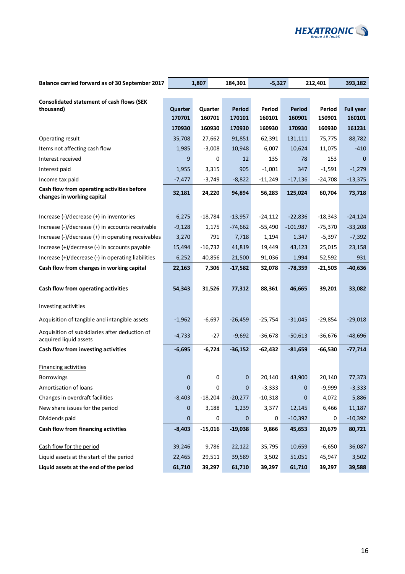

| Balance carried forward as of 30 September 2017                                                        |                   | 1,807        | 184,301            | $-5,327$           |                     | 212,401               | 393,182               |
|--------------------------------------------------------------------------------------------------------|-------------------|--------------|--------------------|--------------------|---------------------|-----------------------|-----------------------|
|                                                                                                        |                   |              |                    |                    |                     |                       |                       |
| <b>Consolidated statement of cash flows (SEK</b><br>thousand)                                          | Quarter           | Quarter      | Period             | Period             | <b>Period</b>       | Period                | <b>Full year</b>      |
|                                                                                                        | 170701            | 160701       | 170101             | 160101             | 160901              | 150901                | 160101                |
|                                                                                                        | 170930            | 160930       | 170930             | 160930             | 170930              | 160930                | 161231                |
| Operating result                                                                                       | 35,708            | 27,662       | 91,851             | 62,391             | 131,111             | 75,775                | 88,782                |
| Items not affecting cash flow                                                                          | 1,985             | $-3,008$     | 10,948             | 6,007              | 10,624              | 11,075                | $-410$                |
| Interest received                                                                                      | 9                 | 0            | 12                 | 135                | 78                  | 153                   | $\Omega$              |
| Interest paid                                                                                          | 1,955             | 3,315        | 905                | $-1,001$           | 347                 | $-1,591$              | $-1,279$              |
| Income tax paid                                                                                        | $-7,477$          | $-3,749$     | $-8,822$           | $-11,249$          | $-17,136$           | $-24,708$             | $-13,375$             |
| Cash flow from operating activities before                                                             | 32,181            | 24,220       | 94,894             | 56,283             | 125,024             | 60,704                | 73,718                |
| changes in working capital                                                                             |                   |              |                    |                    |                     |                       |                       |
|                                                                                                        |                   |              |                    |                    |                     |                       |                       |
| Increase (-)/decrease (+) in inventories                                                               | 6,275             | $-18,784$    | $-13,957$          | $-24,112$          | $-22,836$           | $-18,343$             | $-24,124$             |
| Increase (-)/decrease (+) in accounts receivable<br>Increase (-)/decrease (+) in operating receivables | $-9,128$<br>3,270 | 1,175<br>791 | $-74,662$<br>7,718 | $-55,490$<br>1,194 | $-101,987$<br>1,347 | $-75,370$<br>$-5,397$ | $-33,208$<br>$-7,392$ |
| Increase (+)/decrease (-) in accounts payable                                                          | 15,494            | $-16,732$    | 41,819             | 19,449             | 43,123              | 25,015                | 23,158                |
| Increase (+)/decrease (-) in operating liabilities                                                     | 6,252             | 40,856       | 21,500             | 91,036             | 1,994               | 52,592                | 931                   |
| Cash flow from changes in working capital                                                              | 22,163            | 7,306        | $-17,582$          | 32,078             | $-78,359$           | $-21,503$             | $-40,636$             |
|                                                                                                        |                   |              |                    |                    |                     |                       |                       |
| Cash flow from operating activities                                                                    | 54,343            | 31,526       | 77,312             | 88,361             | 46,665              | 39,201                | 33,082                |
|                                                                                                        |                   |              |                    |                    |                     |                       |                       |
| <b>Investing activities</b>                                                                            |                   |              |                    |                    |                     |                       |                       |
| Acquisition of tangible and intangible assets                                                          | $-1,962$          | $-6,697$     | $-26,459$          | $-25,754$          | $-31,045$           | $-29,854$             | $-29,018$             |
| Acquisition of subsidiaries after deduction of<br>acquired liquid assets                               | $-4,733$          | $-27$        | $-9,692$           | $-36,678$          | $-50,613$           | $-36,676$             | $-48,696$             |
| Cash flow from investing activities                                                                    | $-6,695$          | $-6,724$     | $-36,152$          | $-62,432$          | $-81,659$           | $-66,530$             | $-77,714$             |
|                                                                                                        |                   |              |                    |                    |                     |                       |                       |
| <b>Financing activities</b>                                                                            |                   |              |                    |                    |                     |                       |                       |
| <b>Borrowings</b>                                                                                      | 0                 | 0            | 0                  | 20,140             | 43,900              | 20,140                | 77,373                |
| Amortisation of loans                                                                                  | 0                 | 0            | $\mathbf 0$        | $-3,333$           | 0                   | $-9,999$              | $-3,333$              |
| Changes in overdraft facilities                                                                        | $-8,403$          | $-18,204$    | $-20,277$          | $-10,318$          | 0                   | 4,072                 | 5,886                 |
| New share issues for the period                                                                        | 0                 | 3,188        | 1,239              | 3,377              | 12,145              | 6,466                 | 11,187                |
| Dividends paid                                                                                         | 0                 | 0            | $\mathbf 0$        | 0                  | $-10,392$           | 0                     | $-10,392$             |
| Cash flow from financing activities                                                                    | $-8,403$          | $-15,016$    | $-19,038$          | 9,866              | 45,653              | 20,679                | 80,721                |
| Cash flow for the period                                                                               | 39,246            | 9,786        | 22,122             | 35,795             | 10,659              | $-6,650$              | 36,087                |
| Liquid assets at the start of the period                                                               | 22,465            | 29,511       | 39,589             | 3,502              | 51,051              | 45,947                | 3,502                 |
| Liquid assets at the end of the period                                                                 | 61,710            | 39,297       | 61,710             | 39,297             | 61,710              | 39,297                | 39,588                |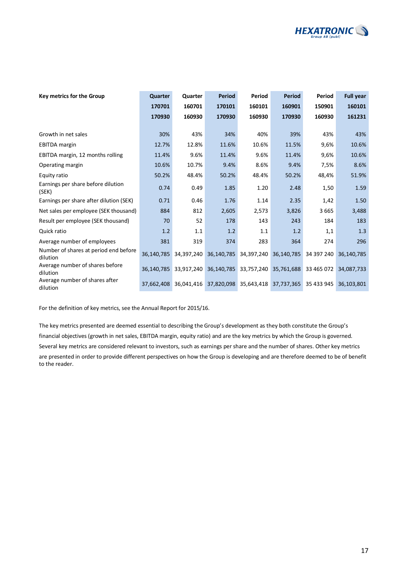

| Key metrics for the Group                         | Quarter    | Quarter               | <b>Period</b> | Period     | Period                                      | Period     | <b>Full year</b> |
|---------------------------------------------------|------------|-----------------------|---------------|------------|---------------------------------------------|------------|------------------|
|                                                   | 170701     | 160701                | 170101        | 160101     | 160901                                      | 150901     | 160101           |
|                                                   | 170930     | 160930                | 170930        | 160930     | 170930                                      | 160930     | 161231           |
|                                                   |            |                       |               |            |                                             |            |                  |
| Growth in net sales                               | 30%        | 43%                   | 34%           | 40%        | 39%                                         | 43%        | 43%              |
| <b>EBITDA</b> margin                              | 12.7%      | 12.8%                 | 11.6%         | 10.6%      | 11.5%                                       | 9,6%       | 10.6%            |
| EBITDA margin, 12 months rolling                  | 11.4%      | 9.6%                  | 11.4%         | 9.6%       | 11.4%                                       | 9,6%       | 10.6%            |
| Operating margin                                  | 10.6%      | 10.7%                 | 9.4%          | 8.6%       | 9.4%                                        | 7,5%       | 8.6%             |
| Equity ratio                                      | 50.2%      | 48.4%                 | 50.2%         | 48.4%      | 50.2%                                       | 48,4%      | 51.9%            |
| Earnings per share before dilution<br>(SEK)       | 0.74       | 0.49                  | 1.85          | 1.20       | 2.48                                        | 1,50       | 1.59             |
| Earnings per share after dilution (SEK)           | 0.71       | 0.46                  | 1.76          | 1.14       | 2.35                                        | 1,42       | 1.50             |
| Net sales per employee (SEK thousand)             | 884        | 812                   | 2,605         | 2,573      | 3,826                                       | 3665       | 3,488            |
| Result per employee (SEK thousand)                | 70         | 52                    | 178           | 143        | 243                                         | 184        | 183              |
| Quick ratio                                       | 1.2        | 1.1                   | 1.2           | 1.1        | 1.2                                         | 1,1        | 1.3              |
| Average number of employees                       | 381        | 319                   | 374           | 283        | 364                                         | 274        | 296              |
| Number of shares at period end before<br>dilution | 36.140.785 | 34.397.240            | 36,140,785    | 34,397,240 | 36,140,785                                  | 34 397 240 | 36.140.785       |
| Average number of shares before<br>dilution       |            | 36,140,785 33,917,240 | 36,140,785    | 33,757,240 | 35,761,688                                  | 33 465 072 | 34,087,733       |
| Average number of shares after<br>dilution        |            | 37,662,408 36,041,416 |               |            | 37,820,098 35,643,418 37,737,365 35 433 945 |            | 36.103.801       |

For the definition of key metrics, see the Annual Report for 2015/16.

The key metrics presented are deemed essential to describing the Group's development as they both constitute the Group's financial objectives (growth in net sales, EBITDA margin, equity ratio) and are the key metrics by which the Group is governed. Several key metrics are considered relevant to investors, such as earnings per share and the number of shares. Other key metrics are presented in order to provide different perspectives on how the Group is developing and are therefore deemed to be of benefit to the reader.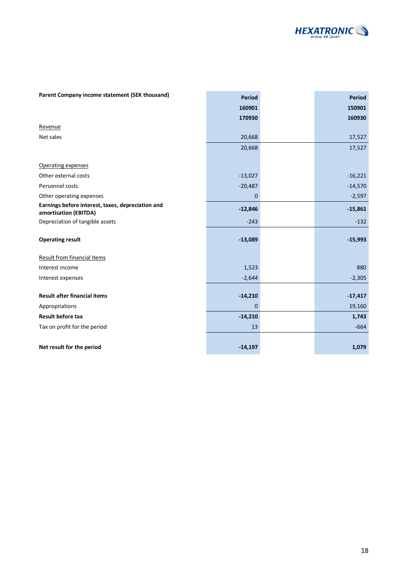

| Parent Company income statement (SEK thousand)                             | <b>Period</b> | <b>Period</b> |
|----------------------------------------------------------------------------|---------------|---------------|
|                                                                            | 160901        | 150901        |
|                                                                            | 170930        | 160930        |
| Revenue                                                                    |               |               |
| Net sales                                                                  | 20,668        | 17,527        |
|                                                                            | 20,668        | 17,527        |
| Operating expenses                                                         |               |               |
| Other external costs                                                       | $-13,027$     | $-16,221$     |
| Personnel costs                                                            | $-20,487$     | $-14,570$     |
| Other operating expenses                                                   | 0             | $-2,597$      |
| Earnings before interest, taxes, depreciation and<br>amortisation (EBITDA) | $-12,846$     | $-15,861$     |
| Depreciation of tangible assets                                            | $-243$        | $-132$        |
| <b>Operating result</b>                                                    | $-13,089$     | $-15,993$     |
| Result from financial items                                                |               |               |
| Interest income                                                            | 1,523         | 880           |
| Interest expenses                                                          | $-2,644$      | $-2,305$      |
| <b>Result after financial items</b>                                        | $-14,210$     | $-17,417$     |
| Appropriations                                                             | $\mathbf 0$   | 19,160        |
| <b>Result before tax</b>                                                   | $-14,210$     | 1,743         |
| Tax on profit for the period                                               | 13            | $-664$        |
|                                                                            |               |               |
| Net result for the period                                                  | $-14,197$     | 1,079         |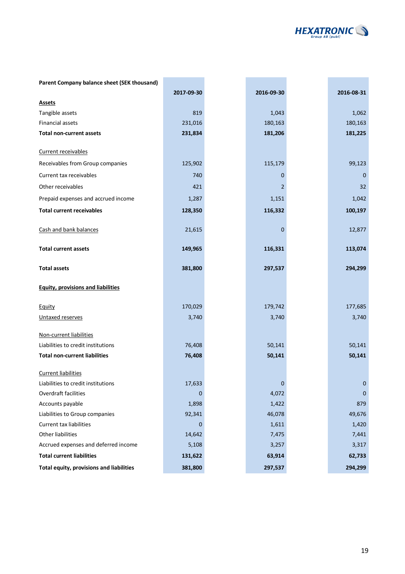

| Parent Company balance sheet (SEK thousand) |            |                |             |
|---------------------------------------------|------------|----------------|-------------|
|                                             | 2017-09-30 | 2016-09-30     | 2016-08-31  |
| <b>Assets</b>                               |            |                |             |
| Tangible assets                             | 819        | 1,043          | 1,062       |
| <b>Financial assets</b>                     | 231,016    | 180,163        | 180,163     |
| <b>Total non-current assets</b>             | 231,834    | 181,206        | 181,225     |
| Current receivables                         |            |                |             |
| Receivables from Group companies            | 125,902    | 115,179        | 99,123      |
| Current tax receivables                     | 740        | $\mathbf 0$    | $\mathbf 0$ |
| Other receivables                           | 421        | $\overline{2}$ | 32          |
| Prepaid expenses and accrued income         | 1,287      | 1,151          | 1,042       |
| <b>Total current receivables</b>            | 128,350    | 116,332        | 100,197     |
| Cash and bank balances                      | 21,615     | $\mathbf 0$    | 12,877      |
| <b>Total current assets</b>                 | 149,965    | 116,331        | 113,074     |
| <b>Total assets</b>                         | 381,800    | 297,537        | 294,299     |
| <b>Equity, provisions and liabilities</b>   |            |                |             |
| Equity                                      | 170,029    | 179,742        | 177,685     |
| Untaxed reserves                            | 3,740      | 3,740          | 3,740       |
| Non-current liabilities                     |            |                |             |
| Liabilities to credit institutions          | 76,408     | 50,141         | 50,141      |
| <b>Total non-current liabilities</b>        | 76,408     | 50,141         | 50,141      |
| <b>Current liabilities</b>                  |            |                |             |
| Liabilities to credit institutions          | 17,633     | 0              | 0           |
| Overdraft facilities                        | 0          | 4,072          | $\mathbf 0$ |
| Accounts payable                            | 1,898      | 1,422          | 879         |
| Liabilities to Group companies              | 92,341     | 46,078         | 49,676      |
| <b>Current tax liabilities</b>              | $\Omega$   | 1,611          | 1,420       |
| Other liabilities                           | 14,642     | 7,475          | 7,441       |
| Accrued expenses and deferred income        | 5,108      | 3,257          | 3,317       |
| <b>Total current liabilities</b>            | 131,622    | 63,914         | 62,733      |
| Total equity, provisions and liabilities    | 381,800    | 297,537        | 294,299     |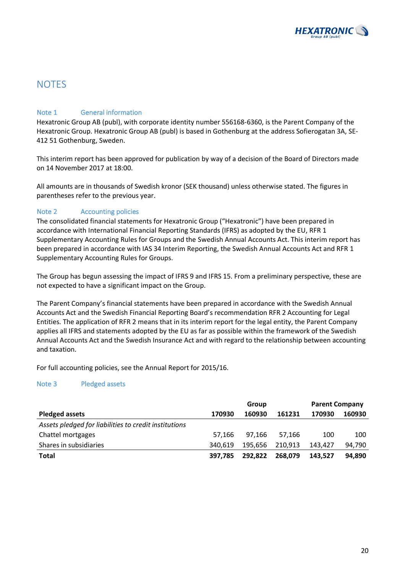

### **NOTES**

### Note 1 **General information**

Hexatronic Group AB (publ), with corporate identity number 556168-6360, is the Parent Company of the Hexatronic Group. Hexatronic Group AB (publ) is based in Gothenburg at the address Sofierogatan 3A, SE-412 51 Gothenburg, Sweden.

This interim report has been approved for publication by way of a decision of the Board of Directors made on 14 November 2017 at 18:00.

All amounts are in thousands of Swedish kronor (SEK thousand) unless otherwise stated. The figures in parentheses refer to the previous year.

### Note 2 **Accounting policies**

The consolidated financial statements for Hexatronic Group ("Hexatronic") have been prepared in accordance with International Financial Reporting Standards (IFRS) as adopted by the EU, RFR 1 Supplementary Accounting Rules for Groups and the Swedish Annual Accounts Act. This interim report has been prepared in accordance with IAS 34 Interim Reporting, the Swedish Annual Accounts Act and RFR 1 Supplementary Accounting Rules for Groups.

The Group has begun assessing the impact of IFRS 9 and IFRS 15. From a preliminary perspective, these are not expected to have a significant impact on the Group.

The Parent Company's financial statements have been prepared in accordance with the Swedish Annual Accounts Act and the Swedish Financial Reporting Board's recommendation RFR 2 Accounting for Legal Entities. The application of RFR 2 means that in its interim report for the legal entity, the Parent Company applies all IFRS and statements adopted by the EU as far as possible within the framework of the Swedish Annual Accounts Act and the Swedish Insurance Act and with regard to the relationship between accounting and taxation.

For full accounting policies, see the Annual Report for 2015/16.

#### Note 3 Pledged assets

|                                                       |         | Group   |         | <b>Parent Company</b> |        |
|-------------------------------------------------------|---------|---------|---------|-----------------------|--------|
| <b>Pledged assets</b>                                 | 170930  | 160930  | 161231  | 170930                | 160930 |
| Assets pledged for liabilities to credit institutions |         |         |         |                       |        |
| Chattel mortgages                                     | 57.166  | 97.166  | 57.166  | 100                   | 100    |
| Shares in subsidiaries                                | 340.619 | 195.656 | 210.913 | 143.427               | 94.790 |
| Total                                                 | 397.785 | 292.822 | 268.079 | 143.527               | 94,890 |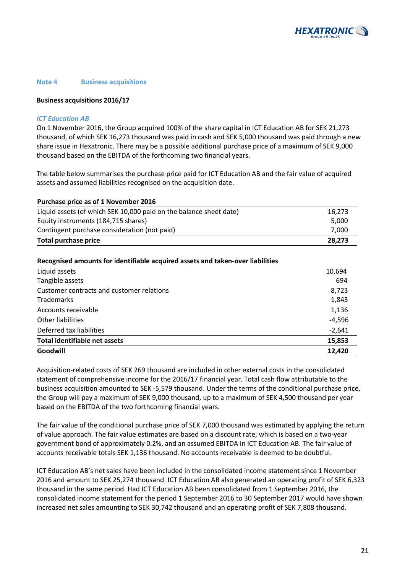

#### **Note 4 Business acquisitions**

#### **Business acquisitions 2016/17**

#### *ICT Education AB*

On 1 November 2016, the Group acquired 100% of the share capital in ICT Education AB for SEK 21,273 thousand, of which SEK 16,273 thousand was paid in cash and SEK 5,000 thousand was paid through a new share issue in Hexatronic. There may be a possible additional purchase price of a maximum of SEK 9,000 thousand based on the EBITDA of the forthcoming two financial years.

The table below summarises the purchase price paid for ICT Education AB and the fair value of acquired assets and assumed liabilities recognised on the acquisition date.

#### **Purchase price as of 1 November 2016**

| <b>Total purchase price</b>                                        | 28.273 |
|--------------------------------------------------------------------|--------|
| Contingent purchase consideration (not paid)                       | 7.000  |
| Equity instruments (184,715 shares)                                | 5.000  |
| Liquid assets (of which SEK 10,000 paid on the balance sheet date) | 16.273 |

#### Recognised amounts for identifiable acquired assets and taken-over liabilities

| Goodwill                                  | 12,420   |
|-------------------------------------------|----------|
| Total identifiable net assets             | 15,853   |
| Deferred tax liabilities                  | $-2,641$ |
| Other liabilities                         | $-4,596$ |
| Accounts receivable                       | 1,136    |
| Trademarks                                | 1,843    |
| Customer contracts and customer relations | 8,723    |
| Tangible assets                           | 694      |
| Liquid assets                             | 10,694   |

Acquisition-related costs of SEK 269 thousand are included in other external costs in the consolidated statement of comprehensive income for the 2016/17 financial year. Total cash flow attributable to the business acquisition amounted to SEK -5,579 thousand. Under the terms of the conditional purchase price, the Group will pay a maximum of SEK 9,000 thousand, up to a maximum of SEK 4,500 thousand per year based on the EBITDA of the two forthcoming financial years.

The fair value of the conditional purchase price of SEK 7,000 thousand was estimated by applying the return of value approach. The fair value estimates are based on a discount rate, which is based on a two-year government bond of approximately 0.2%, and an assumed EBITDA in ICT Education AB. The fair value of accounts receivable totals SEK 1,136 thousand. No accounts receivable is deemed to be doubtful.

ICT Education AB's net sales have been included in the consolidated income statement since 1 November 2016 and amount to SEK 25,274 thousand. ICT Education AB also generated an operating profit of SEK 6,323 thousand in the same period. Had ICT Education AB been consolidated from 1 September 2016, the consolidated income statement for the period 1 September 2016 to 30 September 2017 would have shown increased net sales amounting to SEK 30,742 thousand and an operating profit of SEK 7,808 thousand.